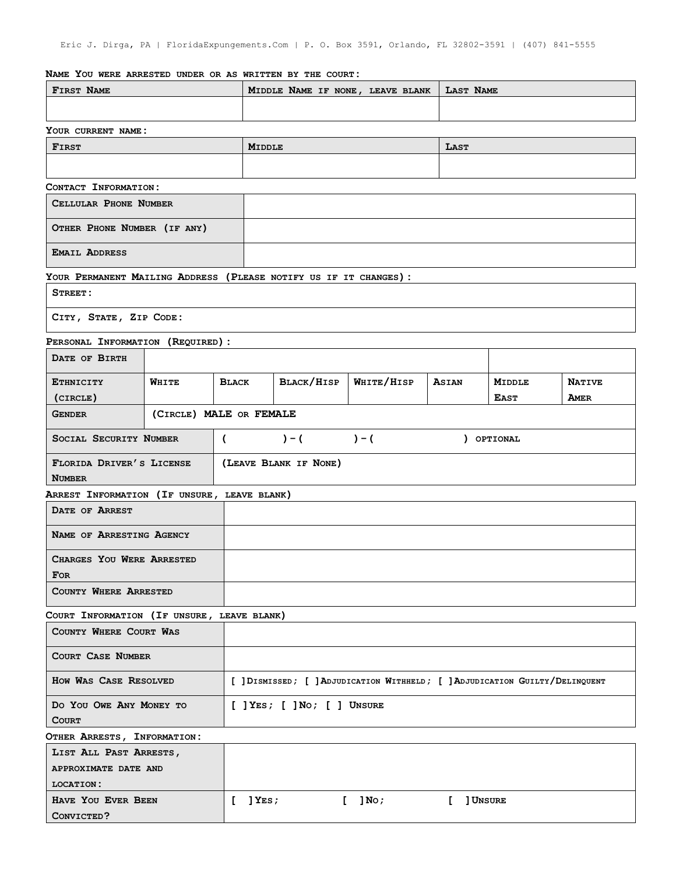## **NAME YOU WERE ARRESTED UNDER OR AS WRITTEN BY THE COURT:**

| FIRST NAME                                                        |                         |                                                                              | MIDDLE NAME IF NONE, LEAVE BLANK  |            |               | <b>LAST NAME</b>             |                       |  |
|-------------------------------------------------------------------|-------------------------|------------------------------------------------------------------------------|-----------------------------------|------------|---------------|------------------------------|-----------------------|--|
|                                                                   |                         |                                                                              |                                   |            |               |                              |                       |  |
| YOUR CURRENT NAME:                                                |                         |                                                                              |                                   |            |               |                              |                       |  |
| <b>FIRST</b>                                                      |                         |                                                                              | <b>MIDDLE</b>                     |            |               | LAST                         |                       |  |
|                                                                   |                         |                                                                              |                                   |            |               |                              |                       |  |
|                                                                   |                         |                                                                              |                                   |            |               |                              |                       |  |
| CONTACT INFORMATION:<br>CELLULAR PHONE NUMBER                     |                         |                                                                              |                                   |            |               |                              |                       |  |
|                                                                   |                         |                                                                              |                                   |            |               |                              |                       |  |
| OTHER PHONE NUMBER (IF ANY)                                       |                         |                                                                              |                                   |            |               |                              |                       |  |
| <b>EMAIL ADDRESS</b>                                              |                         |                                                                              |                                   |            |               |                              |                       |  |
| YOUR PERMANENT MAILING ADDRESS (PLEASE NOTIFY US IF IT CHANGES) : |                         |                                                                              |                                   |            |               |                              |                       |  |
|                                                                   |                         |                                                                              |                                   |            |               |                              |                       |  |
| STREET:                                                           |                         |                                                                              |                                   |            |               |                              |                       |  |
| CITY, STATE, ZIP CODE:                                            |                         |                                                                              |                                   |            |               |                              |                       |  |
| PERSONAL INFORMATION (REQUIRED) :                                 |                         |                                                                              |                                   |            |               |                              |                       |  |
| DATE OF BIRTH                                                     |                         |                                                                              |                                   |            |               |                              |                       |  |
|                                                                   |                         |                                                                              |                                   |            |               |                              |                       |  |
| <b>ETHNICITY</b><br>(CIRCLE)                                      | WHITE                   | <b>BLACK</b>                                                                 | BLACK/HISP                        | WHITE/HISP | ASIAN         | <b>MIDDLE</b><br><b>EAST</b> | <b>NATIVE</b><br>AMER |  |
| <b>GENDER</b>                                                     | (CIRCLE) MALE OR FEMALE |                                                                              |                                   |            |               |                              |                       |  |
|                                                                   |                         |                                                                              |                                   |            |               |                              |                       |  |
| SOCIAL SECURITY NUMBER<br>€                                       |                         | $) - ($<br>$) - ($<br>) OPTIONAL                                             |                                   |            |               |                              |                       |  |
| FLORIDA DRIVER'S LICENSE                                          |                         | (LEAVE BLANK IF NONE)                                                        |                                   |            |               |                              |                       |  |
| <b>NUMBER</b>                                                     |                         |                                                                              |                                   |            |               |                              |                       |  |
| ARREST INFORMATION (IF UNSURE, LEAVE BLANK)                       |                         |                                                                              |                                   |            |               |                              |                       |  |
| DATE OF ARREST                                                    |                         |                                                                              |                                   |            |               |                              |                       |  |
| NAME OF ARRESTING AGENCY                                          |                         |                                                                              |                                   |            |               |                              |                       |  |
| CHARGES YOU WERE ARRESTED                                         |                         |                                                                              |                                   |            |               |                              |                       |  |
| <b>FOR</b>                                                        |                         |                                                                              |                                   |            |               |                              |                       |  |
| <b>COUNTY WHERE ARRESTED</b>                                      |                         |                                                                              |                                   |            |               |                              |                       |  |
|                                                                   |                         |                                                                              |                                   |            |               |                              |                       |  |
| COURT INFORMATION (IF UNSURE, LEAVE BLANK)                        |                         |                                                                              |                                   |            |               |                              |                       |  |
| COUNTY WHERE COURT WAS                                            |                         |                                                                              |                                   |            |               |                              |                       |  |
| <b>COURT CASE NUMBER</b>                                          |                         |                                                                              |                                   |            |               |                              |                       |  |
| HOW WAS CASE RESOLVED                                             |                         | [ ] DISMISSED; [ ] ADJUDICATION WITHHELD; [ ] ADJUDICATION GUILTY/DELINQUENT |                                   |            |               |                              |                       |  |
| DO YOU OWE ANY MONEY TO                                           |                         |                                                                              | $[$ ] Yes; $[$ ] No; $[$ ] Unsure |            |               |                              |                       |  |
| <b>COURT</b>                                                      |                         |                                                                              |                                   |            |               |                              |                       |  |
| OTHER ARRESTS, INFORMATION:                                       |                         |                                                                              |                                   |            |               |                              |                       |  |
| LIST ALL PAST ARRESTS,                                            |                         |                                                                              |                                   |            |               |                              |                       |  |
| APPROXIMATE DATE AND                                              |                         |                                                                              |                                   |            |               |                              |                       |  |
| <b>LOCATION:</b>                                                  |                         |                                                                              |                                   |            |               |                              |                       |  |
| HAVE YOU EVER BEEN<br>E.                                          |                         | $]$ Yes ;                                                                    |                                   | $[$ ] No;  | ] Unsure<br>L |                              |                       |  |
| CONVICTED?                                                        |                         |                                                                              |                                   |            |               |                              |                       |  |